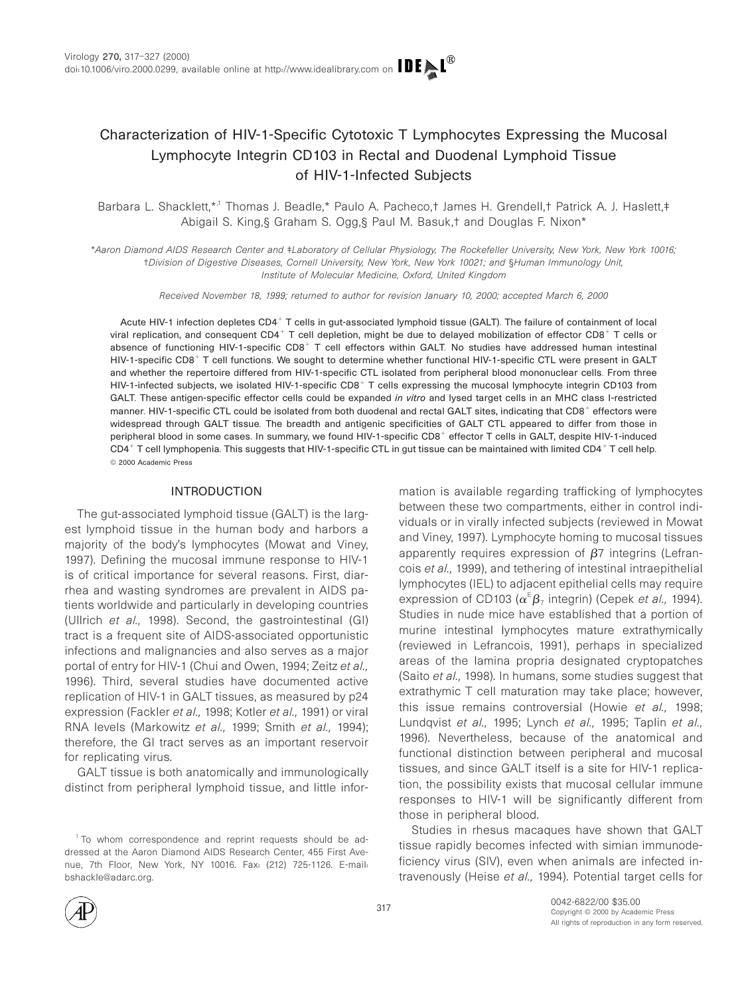# Characterization of HIV-1-Specific Cytotoxic T Lymphocytes Expressing the Mucosal Lymphocyte Integrin CD103 in Rectal and Duodenal Lymphoid Tissue of HIV-1-Infected Subjects

Barbara L. Shacklett,\*<sup>,†</sup> Thomas J. Beadle,\* Paulo A. Pacheco,† James H. Grendell,† Patrick A. J. Haslett,‡ Abigail S. King,§ Graham S. Ogg,§ Paul M. Basuk,† and Douglas F. Nixon\*

\*Aaron Diamond AIDS Research Center and ‡Laboratory of Cellular Physiology, The Rockefeller University, New York, New York 10016; †Division of Digestive Diseases, Cornell University, New York, New York 10021; and §Human Immunology Unit, Institute of Molecular Medicine, Oxford, United Kingdom

Received November 18, 1999; returned to author for revision January 10, 2000; accepted March 6, 2000

Acute HIV-1 infection depletes CD4<sup>+</sup> T cells in gut-associated lymphoid tissue (GALT). The failure of containment of local viral replication, and consequent CD4<sup>+</sup> T cell depletion, might be due to delayed mobilization of effector CD8<sup>+</sup> T cells or absence of functioning HIV-1-specific  $CDB^+$  T cell effectors within GALT. No studies have addressed human intestinal HIV-1-specific CD8<sup>+</sup> T cell functions. We sought to determine whether functional HIV-1-specific CTL were present in GALT and whether the repertoire differed from HIV-1-specific CTL isolated from peripheral blood mononuclear cells. From three HIV-1-infected subjects, we isolated HIV-1-specific CD8<sup>+</sup> T cells expressing the mucosal lymphocyte integrin CD103 from GALT. These antigen-specific effector cells could be expanded in vitro and lysed target cells in an MHC class I-restricted manner. HIV-1-specific CTL could be isolated from both duodenal and rectal GALT sites, indicating that CD8<sup>+</sup> effectors were widespread through GALT tissue. The breadth and antigenic specificities of GALT CTL appeared to differ from those in peripheral blood in some cases. In summary, we found HIV-1-specific CD8<sup>+</sup> effector T cells in GALT, despite HIV-1-induced  $CD4^+$  T cell lymphopenia. This suggests that HIV-1-specific CTL in gut tissue can be maintained with limited CD4<sup>+</sup> T cell help. © 2000 Academic Press

#### INTRODUCTION

The gut-associated lymphoid tissue (GALT) is the largest lymphoid tissue in the human body and harbors a majority of the body's lymphocytes (Mowat and Viney, 1997). Defining the mucosal immune response to HIV-1 is of critical importance for several reasons. First, diarrhea and wasting syndromes are prevalent in AIDS patients worldwide and particularly in developing countries (Ullrich et al., 1998). Second, the gastrointestinal (GI) tract is a frequent site of AIDS-associated opportunistic infections and malignancies and also serves as a major portal of entry for HIV-1 (Chui and Owen, 1994; Zeitz et al., 1996). Third, several studies have documented active replication of HIV-1 in GALT tissues, as measured by p24 expression (Fackler et al., 1998; Kotler et al., 1991) or viral RNA levels (Markowitz et al., 1999; Smith et al., 1994); therefore, the GI tract serves as an important reservoir for replicating virus.

GALT tissue is both anatomically and immunologically distinct from peripheral lymphoid tissue, and little infor-

<sup>1</sup> To whom correspondence and reprint requests should be addressed at the Aaron Diamond AIDS Research Center, 455 First Avenue, 7th Floor, New York, NY 10016. Fax: (212) 725-1126. E-mail: bshackle@adarc.org.

mation is available regarding trafficking of lymphocytes between these two compartments, either in control individuals or in virally infected subjects (reviewed in Mowat and Viney, 1997). Lymphocyte homing to mucosal tissues apparently requires expression of  $\beta$ 7 integrins (Lefrancois et al., 1999), and tethering of intestinal intraepithelial lymphocytes (IEL) to adjacent epithelial cells may require expression of CD103 ( $\alpha^E \beta_7$  integrin) (Cepek *et al.*, 1994). Studies in nude mice have established that a portion of murine intestinal lymphocytes mature extrathymically (reviewed in Lefrancois, 1991), perhaps in specialized areas of the lamina propria designated cryptopatches (Saito et al., 1998). In humans, some studies suggest that extrathymic T cell maturation may take place; however, this issue remains controversial (Howie et al., 1998; Lundqvist et al., 1995; Lynch et al., 1995; Taplin et al., 1996). Nevertheless, because of the anatomical and functional distinction between peripheral and mucosal tissues, and since GALT itself is a site for HIV-1 replication, the possibility exists that mucosal cellular immune responses to HIV-1 will be significantly different from those in peripheral blood.

Studies in rhesus macaques have shown that GALT tissue rapidly becomes infected with simian immunodeficiency virus (SIV), even when animals are infected intravenously (Heise et al., 1994). Potential target cells for

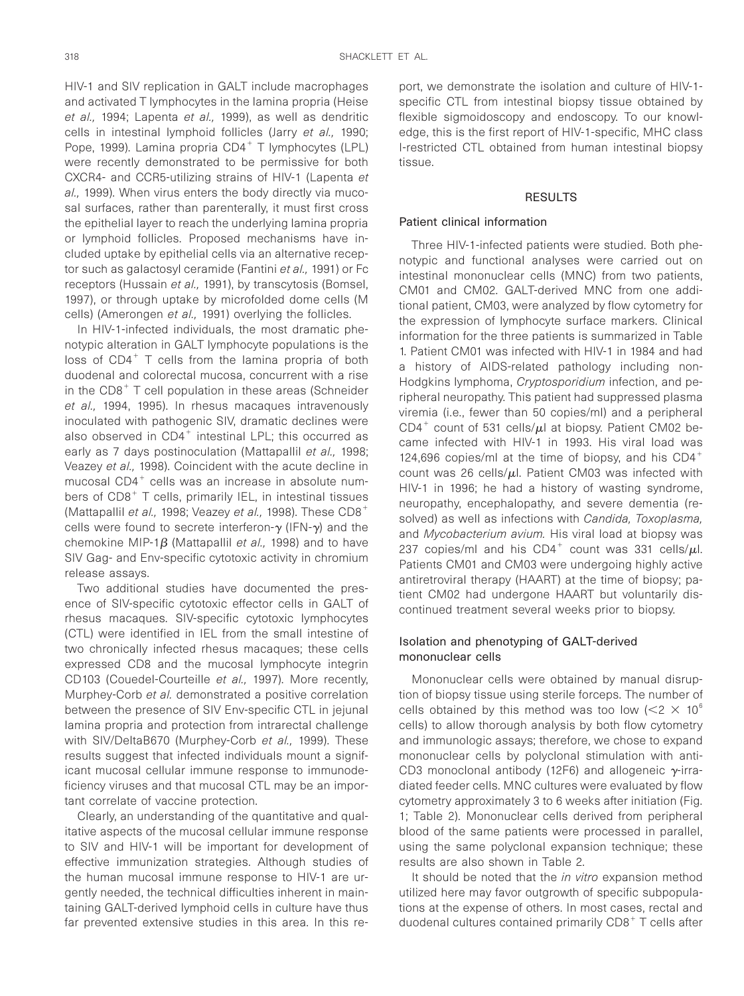HIV-1 and SIV replication in GALT include macrophages and activated T lymphocytes in the lamina propria (Heise et al., 1994; Lapenta et al., 1999), as well as dendritic cells in intestinal lymphoid follicles (Jarry et al., 1990; Pope, 1999). Lamina propria  $CD4<sup>+</sup>$  T lymphocytes (LPL) were recently demonstrated to be permissive for both CXCR4- and CCR5-utilizing strains of HIV-1 (Lapenta et al., 1999). When virus enters the body directly via mucosal surfaces, rather than parenterally, it must first cross the epithelial layer to reach the underlying lamina propria or lymphoid follicles. Proposed mechanisms have included uptake by epithelial cells via an alternative receptor such as galactosyl ceramide (Fantini et al., 1991) or Fc receptors (Hussain et al., 1991), by transcytosis (Bomsel, 1997), or through uptake by microfolded dome cells (M cells) (Amerongen et al., 1991) overlying the follicles.

In HIV-1-infected individuals, the most dramatic phenotypic alteration in GALT lymphocyte populations is the loss of  $CD4^+$  T cells from the lamina propria of both duodenal and colorectal mucosa, concurrent with a rise in the  $CDB<sup>+</sup>$  T cell population in these areas (Schneider et al., 1994, 1995). In rhesus macaques intravenously inoculated with pathogenic SIV, dramatic declines were also observed in  $CD4^+$  intestinal LPL; this occurred as early as 7 days postinoculation (Mattapallil et al., 1998; Veazey et al., 1998). Coincident with the acute decline in mucosal  $CD4^+$  cells was an increase in absolute numbers of  $CDB<sup>+</sup>$  T cells, primarily IEL, in intestinal tissues (Mattapallil et al., 1998; Veazey et al., 1998). These  $CDB^+$ cells were found to secrete interferon- $\gamma$  (IFN- $\gamma$ ) and the chemokine MIP-1 $\beta$  (Mattapallil et al., 1998) and to have SIV Gag- and Env-specific cytotoxic activity in chromium release assays.

Two additional studies have documented the presence of SIV-specific cytotoxic effector cells in GALT of rhesus macaques. SIV-specific cytotoxic lymphocytes (CTL) were identified in IEL from the small intestine of two chronically infected rhesus macaques; these cells expressed CD8 and the mucosal lymphocyte integrin CD103 (Couedel-Courteille et al., 1997). More recently, Murphey-Corb et al. demonstrated a positive correlation between the presence of SIV Env-specific CTL in jejunal lamina propria and protection from intrarectal challenge with SIV/DeltaB670 (Murphey-Corb et al., 1999). These results suggest that infected individuals mount a significant mucosal cellular immune response to immunodeficiency viruses and that mucosal CTL may be an important correlate of vaccine protection.

Clearly, an understanding of the quantitative and qualitative aspects of the mucosal cellular immune response to SIV and HIV-1 will be important for development of effective immunization strategies. Although studies of the human mucosal immune response to HIV-1 are urgently needed, the technical difficulties inherent in maintaining GALT-derived lymphoid cells in culture have thus far prevented extensive studies in this area. In this re-

port, we demonstrate the isolation and culture of HIV-1 specific CTL from intestinal biopsy tissue obtained by flexible sigmoidoscopy and endoscopy. To our knowledge, this is the first report of HIV-1-specific, MHC class I-restricted CTL obtained from human intestinal biopsy tissue.

#### RESULTS

#### Patient clinical information

Three HIV-1-infected patients were studied. Both phenotypic and functional analyses were carried out on intestinal mononuclear cells (MNC) from two patients, CM01 and CM02. GALT-derived MNC from one additional patient, CM03, were analyzed by flow cytometry for the expression of lymphocyte surface markers. Clinical information for the three patients is summarized in Table 1. Patient CM01 was infected with HIV-1 in 1984 and had a history of AIDS-related pathology including non-Hodgkins lymphoma, Cryptosporidium infection, and peripheral neuropathy. This patient had suppressed plasma viremia (i.e., fewer than 50 copies/ml) and a peripheral CD4<sup>+</sup> count of 531 cells/ $\mu$ l at biopsy. Patient CM02 became infected with HIV-1 in 1993. His viral load was 124,696 copies/ml at the time of biopsy, and his  $CD4^+$ count was 26 cells/ $\mu$ l. Patient CM03 was infected with HIV-1 in 1996; he had a history of wasting syndrome, neuropathy, encephalopathy, and severe dementia (resolved) as well as infections with Candida, Toxoplasma, and Mycobacterium avium. His viral load at biopsy was 237 copies/ml and his CD4<sup>+</sup> count was 331 cells/ $\mu$ l. Patients CM01 and CM03 were undergoing highly active antiretroviral therapy (HAART) at the time of biopsy; patient CM02 had undergone HAART but voluntarily discontinued treatment several weeks prior to biopsy.

### Isolation and phenotyping of GALT-derived mononuclear cells

Mononuclear cells were obtained by manual disruption of biopsy tissue using sterile forceps. The number of cells obtained by this method was too low ( $\leq$   $2 \times 10^6$ cells) to allow thorough analysis by both flow cytometry and immunologic assays; therefore, we chose to expand mononuclear cells by polyclonal stimulation with anti-CD3 monoclonal antibody (12F6) and allogeneic  $\gamma$ -irradiated feeder cells. MNC cultures were evaluated by flow cytometry approximately 3 to 6 weeks after initiation (Fig. 1; Table 2). Mononuclear cells derived from peripheral blood of the same patients were processed in parallel, using the same polyclonal expansion technique; these results are also shown in Table 2.

It should be noted that the in vitro expansion method utilized here may favor outgrowth of specific subpopulations at the expense of others. In most cases, rectal and duodenal cultures contained primarily  $CDB<sup>+</sup>$  T cells after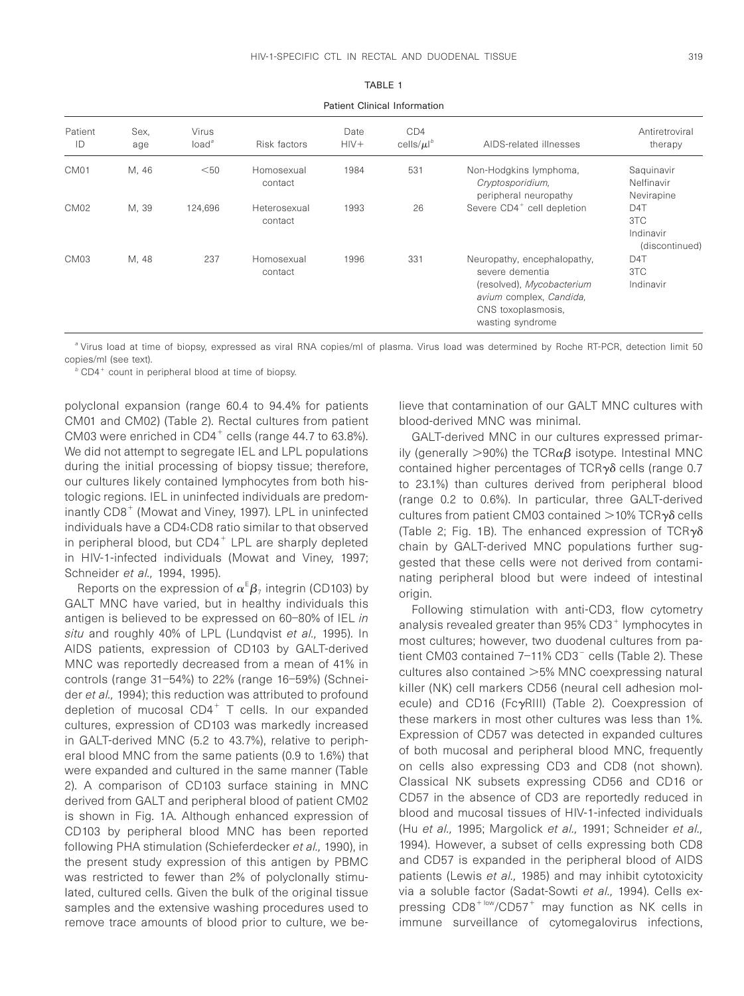Patient Clinical Information

| Patient<br>ID    | Sex,<br>age | Virus<br>load <sup>a</sup> | Risk factors            | Date<br>$HIV+$ | CD <sub>4</sub><br>cells/ $\mu$ <sup>b</sup> | AIDS-related illnesses                                                                                                                           | Antiretroviral<br>therapy                              |
|------------------|-------------|----------------------------|-------------------------|----------------|----------------------------------------------|--------------------------------------------------------------------------------------------------------------------------------------------------|--------------------------------------------------------|
| CM <sub>01</sub> | M, 46       | $50$                       | Homosexual<br>contact   | 1984           | 531                                          | Non-Hodgkins lymphoma,<br>Cryptosporidium,<br>peripheral neuropathy                                                                              | Saquinavir<br>Nelfinavir<br>Nevirapine                 |
| CM <sub>02</sub> | M, 39       | 124.696                    | Heterosexual<br>contact | 1993           | 26                                           | Severe CD4 <sup>+</sup> cell depletion                                                                                                           | D <sub>4</sub> T<br>3TC<br>Indinavir<br>(discontinued) |
| CM <sub>03</sub> | M, 48       | 237                        | Homosexual<br>contact   | 1996           | 331                                          | Neuropathy, encephalopathy,<br>severe dementia<br>(resolved), Mycobacterium<br>avium complex, Candida,<br>CNS toxoplasmosis.<br>wasting syndrome | D <sub>4</sub> T<br>3TC<br>Indinavir                   |

<sup>a</sup> Virus load at time of biopsy, expressed as viral RNA copies/ml of plasma. Virus load was determined by Roche RT-PCR, detection limit 50 copies/ml (see text).

 $b$  CD4<sup>+</sup> count in peripheral blood at time of biopsy.

polyclonal expansion (range 60.4 to 94.4% for patients CM01 and CM02) (Table 2). Rectal cultures from patient CM03 were enriched in  $CD4^+$  cells (range 44.7 to 63.8%). We did not attempt to segregate IEL and LPL populations during the initial processing of biopsy tissue; therefore, our cultures likely contained lymphocytes from both histologic regions. IEL in uninfected individuals are predominantly  $CDB<sup>+</sup>$  (Mowat and Viney, 1997). LPL in uninfected individuals have a CD4:CD8 ratio similar to that observed in peripheral blood, but  $CD4^+$  LPL are sharply depleted in HIV-1-infected individuals (Mowat and Viney, 1997; Schneider et al., 1994, 1995).

Reports on the expression of  $\alpha^{\text{\tiny E}}\beta_7$  integrin (CD103) by GALT MNC have varied, but in healthy individuals this antigen is believed to be expressed on 60–80% of IEL in situ and roughly 40% of LPL (Lundqvist et al., 1995). In AIDS patients, expression of CD103 by GALT-derived MNC was reportedly decreased from a mean of 41% in controls (range 31–54%) to 22% (range 16–59%) (Schneider et al., 1994); this reduction was attributed to profound depletion of mucosal  $CD4^+$  T cells. In our expanded cultures, expression of CD103 was markedly increased in GALT-derived MNC (5.2 to 43.7%), relative to peripheral blood MNC from the same patients (0.9 to 1.6%) that were expanded and cultured in the same manner (Table 2). A comparison of CD103 surface staining in MNC derived from GALT and peripheral blood of patient CM02 is shown in Fig. 1A. Although enhanced expression of CD103 by peripheral blood MNC has been reported following PHA stimulation (Schieferdecker et al., 1990), in the present study expression of this antigen by PBMC was restricted to fewer than 2% of polyclonally stimulated, cultured cells. Given the bulk of the original tissue samples and the extensive washing procedures used to remove trace amounts of blood prior to culture, we believe that contamination of our GALT MNC cultures with blood-derived MNC was minimal.

GALT-derived MNC in our cultures expressed primarily (generally  $>$ 90%) the TCR $\alpha\beta$  isotype. Intestinal MNC contained higher percentages of  $TCR\gamma\delta$  cells (range 0.7 to 23.1%) than cultures derived from peripheral blood (range 0.2 to 0.6%). In particular, three GALT-derived cultures from patient CM03 contained  $>$ 10% TCR $\gamma\delta$  cells (Table 2; Fig. 1B). The enhanced expression of TCR $\gamma\delta$ chain by GALT-derived MNC populations further suggested that these cells were not derived from contaminating peripheral blood but were indeed of intestinal origin.

Following stimulation with anti-CD3, flow cytometry analysis revealed greater than  $95\%$  CD3<sup>+</sup> lymphocytes in most cultures; however, two duodenal cultures from patient CM03 contained  $7-11\%$  CD3 $^-$  cells (Table 2). These cultures also contained  $>5%$  MNC coexpressing natural killer (NK) cell markers CD56 (neural cell adhesion molecule) and CD16 (Fc $\gamma$ RIII) (Table 2). Coexpression of these markers in most other cultures was less than 1%. Expression of CD57 was detected in expanded cultures of both mucosal and peripheral blood MNC, frequently on cells also expressing CD3 and CD8 (not shown). Classical NK subsets expressing CD56 and CD16 or CD57 in the absence of CD3 are reportedly reduced in blood and mucosal tissues of HIV-1-infected individuals (Hu et al., 1995; Margolick et al., 1991; Schneider et al., 1994). However, a subset of cells expressing both CD8 and CD57 is expanded in the peripheral blood of AIDS patients (Lewis et al., 1985) and may inhibit cytotoxicity via a soluble factor (Sadat-Sowti et al., 1994). Cells expressing  $CDB^{+low}/CD57^+$  may function as NK cells in immune surveillance of cytomegalovirus infections,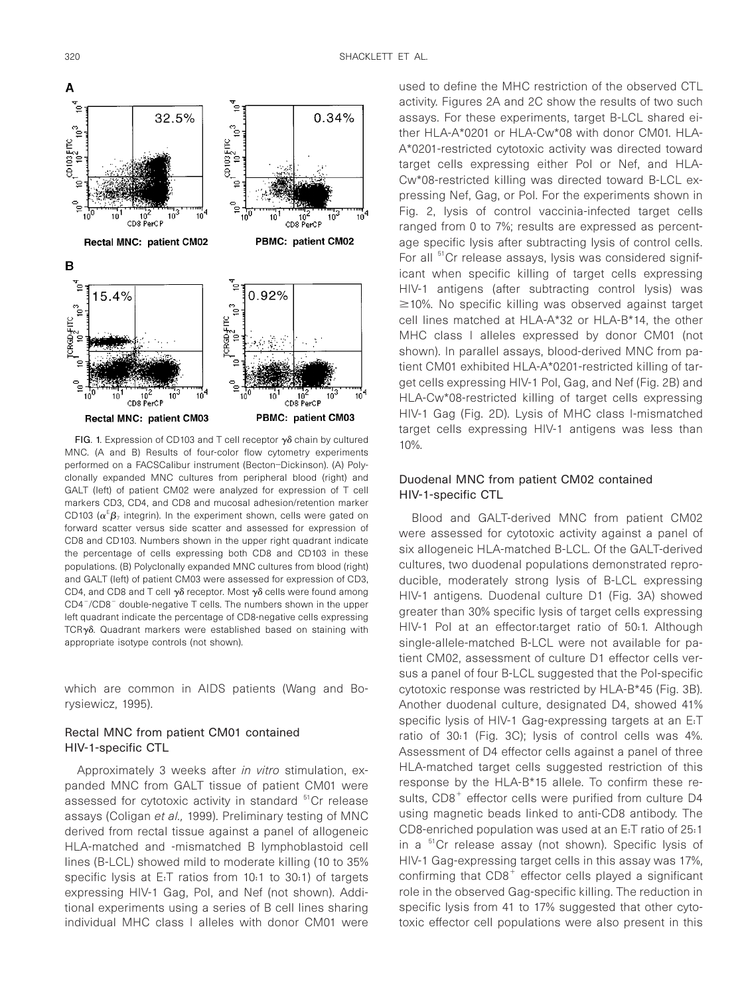

FIG. 1. Expression of CD103 and T cell receptor  $\gamma\delta$  chain by cultured MNC. (A and B) Results of four-color flow cytometry experiments performed on a FACSCalibur instrument (Becton–Dickinson). (A) Polyclonally expanded MNC cultures from peripheral blood (right) and GALT (left) of patient CM02 were analyzed for expression of T cell markers CD3, CD4, and CD8 and mucosal adhesion/retention marker CD103 ( $\alpha^E \beta_7$  integrin). In the experiment shown, cells were gated on forward scatter versus side scatter and assessed for expression of CD8 and CD103. Numbers shown in the upper right quadrant indicate the percentage of cells expressing both CD8 and CD103 in these populations. (B) Polyclonally expanded MNC cultures from blood (right) and GALT (left) of patient CM03 were assessed for expression of CD3, CD4, and CD8 and T cell  $\gamma\delta$  receptor. Most  $\gamma\delta$  cells were found among  $CD4^-/CD8^-$  double-negative T cells. The numbers shown in the upper left quadrant indicate the percentage of CD8-negative cells expressing  $TCR\gamma\delta$ . Quadrant markers were established based on staining with appropriate isotype controls (not shown).

which are common in AIDS patients (Wang and Borysiewicz, 1995).

# Rectal MNC from patient CM01 contained HIV-1-specific CTL

Approximately 3 weeks after in vitro stimulation, expanded MNC from GALT tissue of patient CM01 were assessed for cytotoxic activity in standard <sup>51</sup>Cr release assays (Coligan et al., 1999). Preliminary testing of MNC derived from rectal tissue against a panel of allogeneic HLA-matched and -mismatched B lymphoblastoid cell lines (B-LCL) showed mild to moderate killing (10 to 35% specific lysis at E:T ratios from 10:1 to 30:1) of targets expressing HIV-1 Gag, Pol, and Nef (not shown). Additional experiments using a series of B cell lines sharing individual MHC class I alleles with donor CM01 were

used to define the MHC restriction of the observed CTL activity. Figures 2A and 2C show the results of two such assays. For these experiments, target B-LCL shared either HLA-A\*0201 or HLA-Cw\*08 with donor CM01. HLA-A\*0201-restricted cytotoxic activity was directed toward target cells expressing either Pol or Nef, and HLA-Cw\*08-restricted killing was directed toward B-LCL expressing Nef, Gag, or Pol. For the experiments shown in Fig. 2, lysis of control vaccinia-infected target cells ranged from 0 to 7%; results are expressed as percentage specific lysis after subtracting lysis of control cells. For all <sup>51</sup>Cr release assays, lysis was considered significant when specific killing of target cells expressing HIV-1 antigens (after subtracting control lysis) was  $\geq$ 10%. No specific killing was observed against target cell lines matched at HLA-A\*32 or HLA-B\*14, the other MHC class I alleles expressed by donor CM01 (not shown). In parallel assays, blood-derived MNC from patient CM01 exhibited HLA-A\*0201-restricted killing of target cells expressing HIV-1 Pol, Gag, and Nef (Fig. 2B) and HLA-Cw\*08-restricted killing of target cells expressing HIV-1 Gag (Fig. 2D). Lysis of MHC class I-mismatched target cells expressing HIV-1 antigens was less than 10%.

# Duodenal MNC from patient CM02 contained HIV-1-specific CTL

Blood and GALT-derived MNC from patient CM02 were assessed for cytotoxic activity against a panel of six allogeneic HLA-matched B-LCL. Of the GALT-derived cultures, two duodenal populations demonstrated reproducible, moderately strong lysis of B-LCL expressing HIV-1 antigens. Duodenal culture D1 (Fig. 3A) showed greater than 30% specific lysis of target cells expressing HIV-1 Pol at an effector:target ratio of 50:1. Although single-allele-matched B-LCL were not available for patient CM02, assessment of culture D1 effector cells versus a panel of four B-LCL suggested that the Pol-specific cytotoxic response was restricted by HLA-B\*45 (Fig. 3B). Another duodenal culture, designated D4, showed 41% specific lysis of HIV-1 Gag-expressing targets at an E:T ratio of 30:1 (Fig. 3C); lysis of control cells was 4%. Assessment of D4 effector cells against a panel of three HLA-matched target cells suggested restriction of this response by the HLA-B\*15 allele. To confirm these results,  $CD8<sup>+</sup>$  effector cells were purified from culture D4 using magnetic beads linked to anti-CD8 antibody. The CD8-enriched population was used at an E:T ratio of 25:1 in a <sup>51</sup>Cr release assay (not shown). Specific lysis of HIV-1 Gag-expressing target cells in this assay was 17%, confirming that  $CDB<sup>+</sup>$  effector cells played a significant role in the observed Gag-specific killing. The reduction in specific lysis from 41 to 17% suggested that other cytotoxic effector cell populations were also present in this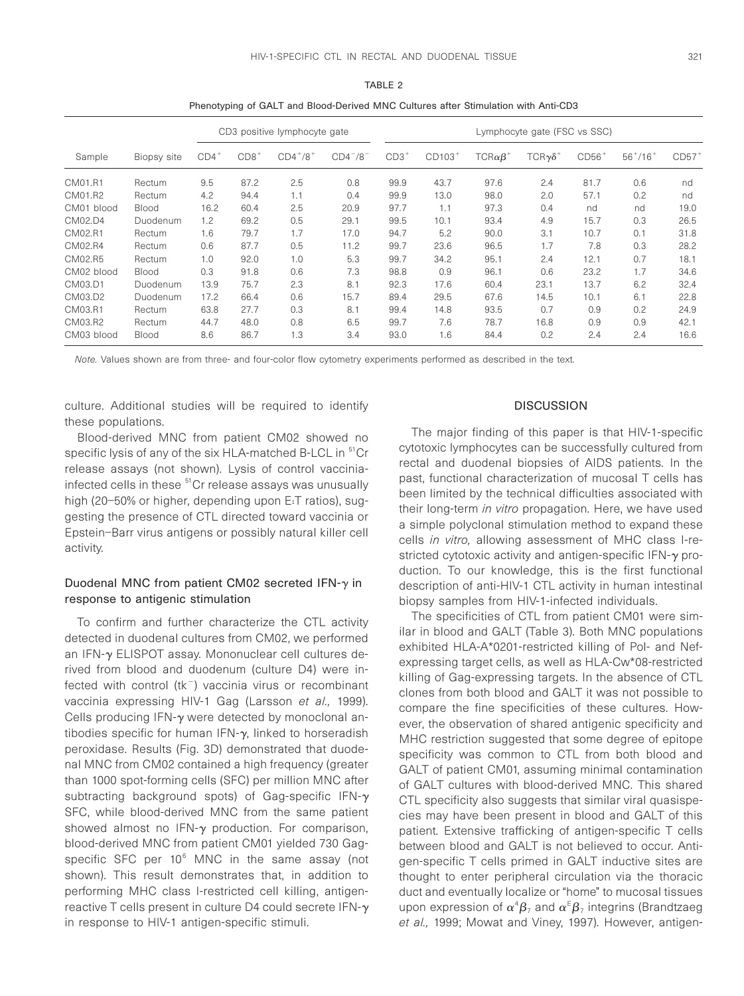|            |              | CD3 positive lymphocyte gate |        |                 | Lymphocyte gate (FSC vs SSC) |        |          |                    |                     |         |                 |         |
|------------|--------------|------------------------------|--------|-----------------|------------------------------|--------|----------|--------------------|---------------------|---------|-----------------|---------|
| Sample     | Biopsy site  | $CD4^+$                      | $CDB+$ | $CD4^{+}/8^{+}$ | $CD4^{-}/8^{-}$              | $CD3+$ | $CD103+$ | $TCR\alpha\beta^+$ | $TCR\gamma\delta^+$ | $CDS6+$ | $56^{+}/16^{+}$ | $CD57+$ |
| CM01.R1    | Rectum       | 9.5                          | 87.2   | 2.5             | 0.8                          | 99.9   | 43.7     | 97.6               | 2.4                 | 81.7    | 0.6             | nd      |
| CM01.R2    | Rectum       | 4.2                          | 94.4   | 1.1             | 0.4                          | 99.9   | 13.0     | 98.0               | 2.0                 | 57.1    | 0.2             | nd      |
| CM01 blood | Blood        | 16.2                         | 60.4   | 2.5             | 20.9                         | 97.7   | 1.1      | 97.3               | 0.4                 | nd      | nd              | 19.0    |
| CM02.D4    | Duodenum     | 1.2                          | 69.2   | 0.5             | 29.1                         | 99.5   | 10.1     | 93.4               | 4.9                 | 15.7    | 0.3             | 26.5    |
| CM02.R1    | Rectum       | 1.6                          | 79.7   | 1.7             | 17.0                         | 94.7   | 5.2      | 90.0               | 3.1                 | 10.7    | 0.1             | 31.8    |
| CM02.R4    | Rectum       | 0.6                          | 87.7   | 0.5             | 11.2                         | 99.7   | 23.6     | 96.5               | 1.7                 | 7.8     | 0.3             | 28.2    |
| CM02.R5    | Rectum       | 1.0                          | 92.0   | 1.0             | 5.3                          | 99.7   | 34.2     | 95.1               | 2.4                 | 12.1    | 0.7             | 18.1    |
| CM02 blood | <b>Blood</b> | 0.3                          | 91.8   | 0.6             | 7.3                          | 98.8   | 0.9      | 96.1               | 0.6                 | 23.2    | 1.7             | 34.6    |
| CM03.D1    | Duodenum     | 13.9                         | 75.7   | 2.3             | 8.1                          | 92.3   | 17.6     | 60.4               | 23.1                | 13.7    | 6.2             | 32.4    |
| CM03.D2    | Duodenum     | 17.2                         | 66.4   | 0.6             | 15.7                         | 89.4   | 29.5     | 67.6               | 14.5                | 10.1    | 6.1             | 22.8    |
| CM03.R1    | Rectum       | 63.8                         | 27.7   | 0.3             | 8.1                          | 99.4   | 14.8     | 93.5               | 0.7                 | 0.9     | 0.2             | 24.9    |
| CM03.R2    | Rectum       | 44.7                         | 48.0   | 0.8             | 6.5                          | 99.7   | 7.6      | 78.7               | 16.8                | 0.9     | 0.9             | 42.1    |
| CM03 blood | Blood        | 8.6                          | 86.7   | 1.3             | 3.4                          | 93.0   | 1.6      | 84.4               | 0.2                 | 2.4     | 2.4             | 16.6    |
|            |              |                              |        |                 |                              |        |          |                    |                     |         |                 |         |

TABLE 2 Phenotyping of GALT and Blood-Derived MNC Cultures after Stimulation with Anti-CD3

Note. Values shown are from three- and four-color flow cytometry experiments performed as described in the text.

culture. Additional studies will be required to identify these populations.

Blood-derived MNC from patient CM02 showed no specific lysis of any of the six HLA-matched B-LCL in <sup>51</sup>Cr release assays (not shown). Lysis of control vacciniainfected cells in these <sup>51</sup>Cr release assays was unusually high (20–50% or higher, depending upon E:T ratios), suggesting the presence of CTL directed toward vaccinia or Epstein–Barr virus antigens or possibly natural killer cell activity.

# Duodenal MNC from patient CM02 secreted IFN- $\gamma$  in response to antigenic stimulation

To confirm and further characterize the CTL activity detected in duodenal cultures from CM02, we performed an IFN-y ELISPOT assay. Mononuclear cell cultures derived from blood and duodenum (culture D4) were infected with control ( $tk^-$ ) vaccinia virus or recombinant vaccinia expressing HIV-1 Gag (Larsson et al., 1999). Cells producing IFN- $\gamma$  were detected by monoclonal antibodies specific for human IFN- $\gamma$ , linked to horseradish peroxidase. Results (Fig. 3D) demonstrated that duodenal MNC from CM02 contained a high frequency (greater than 1000 spot-forming cells (SFC) per million MNC after subtracting background spots) of Gag-specific  $IFN-\gamma$ SFC, while blood-derived MNC from the same patient showed almost no IFN- $\gamma$  production. For comparison, blood-derived MNC from patient CM01 yielded 730 Gagspecific SFC per  $10^6$  MNC in the same assay (not shown). This result demonstrates that, in addition to performing MHC class I-restricted cell killing, antigenreactive T cells present in culture D4 could secrete  $IFN-\gamma$ in response to HIV-1 antigen-specific stimuli.

# **DISCUSSION**

The major finding of this paper is that HIV-1-specific cytotoxic lymphocytes can be successfully cultured from rectal and duodenal biopsies of AIDS patients. In the past, functional characterization of mucosal T cells has been limited by the technical difficulties associated with their long-term in vitro propagation. Here, we have used a simple polyclonal stimulation method to expand these cells in vitro, allowing assessment of MHC class I-restricted cytotoxic activity and antigen-specific  $IFN-\gamma$  production. To our knowledge, this is the first functional description of anti-HIV-1 CTL activity in human intestinal biopsy samples from HIV-1-infected individuals.

The specificities of CTL from patient CM01 were similar in blood and GALT (Table 3). Both MNC populations exhibited HLA-A\*0201-restricted killing of Pol- and Nefexpressing target cells, as well as HLA-Cw\*08-restricted killing of Gag-expressing targets. In the absence of CTL clones from both blood and GALT it was not possible to compare the fine specificities of these cultures. However, the observation of shared antigenic specificity and MHC restriction suggested that some degree of epitope specificity was common to CTL from both blood and GALT of patient CM01, assuming minimal contamination of GALT cultures with blood-derived MNC. This shared CTL specificity also suggests that similar viral quasispecies may have been present in blood and GALT of this patient. Extensive trafficking of antigen-specific T cells between blood and GALT is not believed to occur. Antigen-specific T cells primed in GALT inductive sites are thought to enter peripheral circulation via the thoracic duct and eventually localize or "home" to mucosal tissues upon expression of  $\alpha^4\beta_7$  and  $\alpha^{\text{\tiny E}}\beta_7$  integrins (Brandtzaeg et al., 1999; Mowat and Viney, 1997). However, antigen-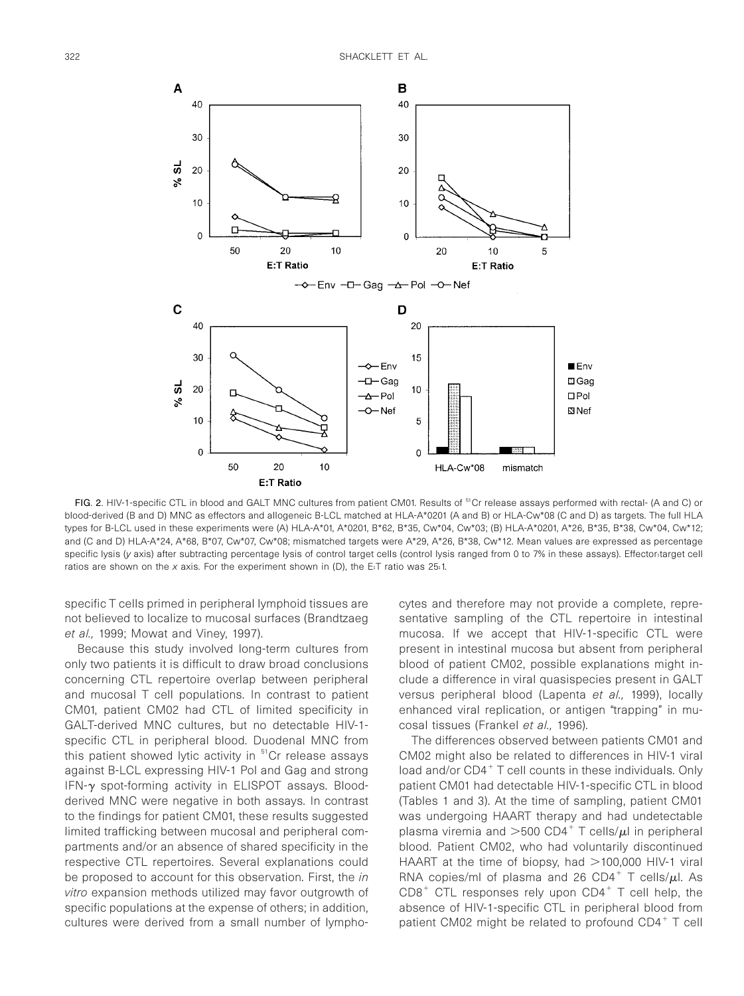

FIG. 2. HIV-1-specific CTL in blood and GALT MNC cultures from patient CM01. Results of <sup>51</sup>Cr release assays performed with rectal- (A and C) or blood-derived (B and D) MNC as effectors and allogeneic B-LCL matched at HLA-A\*0201 (A and B) or HLA-Cw\*08 (C and D) as targets. The full HLA types for B-LCL used in these experiments were (A) HLA-A\*01, A\*0201, B\*62, B\*35, Cw\*04, Cw\*03; (B) HLA-A\*0201, A\*26, B\*35, B\*38, Cw\*04, Cw\*12; and (C and D) HLA-A\*24, A\*68, B\*07, Cw\*07, Cw\*08; mismatched targets were A\*29, A\*26, B\*38, Cw\*12. Mean values are expressed as percentage specific lysis (y axis) after subtracting percentage lysis of control target cells (control lysis ranged from 0 to 7% in these assays). Effector:target cell ratios are shown on the  $x$  axis. For the experiment shown in (D), the E:T ratio was 25:1.

specific T cells primed in peripheral lymphoid tissues are not believed to localize to mucosal surfaces (Brandtzaeg et al., 1999; Mowat and Viney, 1997).

Because this study involved long-term cultures from only two patients it is difficult to draw broad conclusions concerning CTL repertoire overlap between peripheral and mucosal T cell populations. In contrast to patient CM01, patient CM02 had CTL of limited specificity in GALT-derived MNC cultures, but no detectable HIV-1 specific CTL in peripheral blood. Duodenal MNC from this patient showed lytic activity in  $51$ Cr release assays against B-LCL expressing HIV-1 Pol and Gag and strong IFN- $\gamma$  spot-forming activity in ELISPOT assays. Bloodderived MNC were negative in both assays. In contrast to the findings for patient CM01, these results suggested limited trafficking between mucosal and peripheral compartments and/or an absence of shared specificity in the respective CTL repertoires. Several explanations could be proposed to account for this observation. First, the in vitro expansion methods utilized may favor outgrowth of specific populations at the expense of others; in addition, cultures were derived from a small number of lymphocytes and therefore may not provide a complete, representative sampling of the CTL repertoire in intestinal mucosa. If we accept that HIV-1-specific CTL were present in intestinal mucosa but absent from peripheral blood of patient CM02, possible explanations might include a difference in viral quasispecies present in GALT versus peripheral blood (Lapenta et al., 1999), locally enhanced viral replication, or antigen "trapping" in mucosal tissues (Frankel et al., 1996).

The differences observed between patients CM01 and CM02 might also be related to differences in HIV-1 viral load and/or  $CD4^+$  T cell counts in these individuals. Only patient CM01 had detectable HIV-1-specific CTL in blood (Tables 1 and 3). At the time of sampling, patient CM01 was undergoing HAART therapy and had undetectable plasma viremia and  $>500$  CD4<sup>+</sup> T cells/ $\mu$ l in peripheral blood. Patient CM02, who had voluntarily discontinued HAART at the time of biopsy, had  $>$ 100,000 HIV-1 viral RNA copies/ml of plasma and 26 CD4<sup>+</sup> T cells/ $\mu$ l. As  $CD8<sup>+</sup>$  CTL responses rely upon  $CD4<sup>+</sup>$  T cell help, the absence of HIV-1-specific CTL in peripheral blood from patient CM02 might be related to profound  $CD4^+$  T cell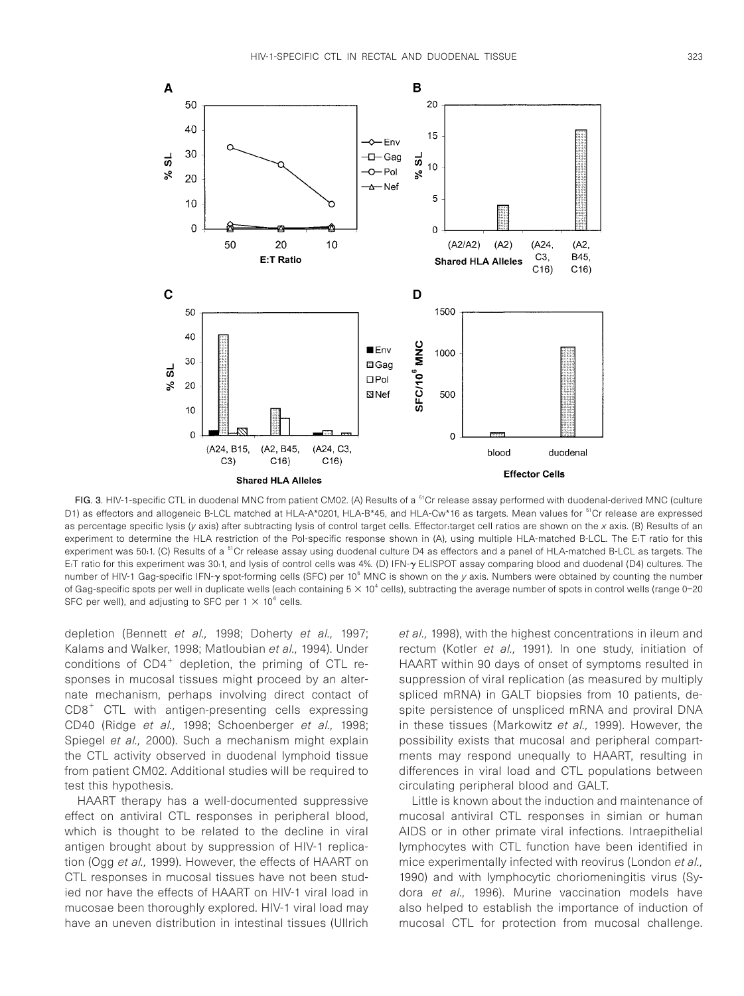

FIG. 3. HIV-1-specific CTL in duodenal MNC from patient CM02. (A) Results of a <sup>51</sup>Cr release assay performed with duodenal-derived MNC (culture D1) as effectors and allogeneic B-LCL matched at HLA-A\*0201, HLA-B\*45, and HLA-Cw\*16 as targets. Mean values for <sup>51</sup>Cr release are expressed as percentage specific lysis (y axis) after subtracting lysis of control target cells. Effector:target cell ratios are shown on the x axis. (B) Results of an experiment to determine the HLA restriction of the Pol-specific response shown in (A), using multiple HLA-matched B-LCL. The E:T ratio for this experiment was 50.1. (C) Results of a <sup>51</sup>Cr release assay using duodenal culture D4 as effectors and a panel of HLA-matched B-LCL as targets. The E:T ratio for this experiment was 30:1, and lysis of control cells was 4%. (D) IFN-<sup>g</sup> ELISPOT assay comparing blood and duodenal (D4) cultures. The number of HIV-1 Gag-specific IFN-y spot-forming cells (SFC) per 10<sup>6</sup> MNC is shown on the y axis. Numbers were obtained by counting the number of Gag-specific spots per well in duplicate wells (each containing  $5 \times 10^4$  cells), subtracting the average number of spots in control wells (range 0-20 SFC per well), and adjusting to SFC per 1  $\times$  10<sup>6</sup> cells.

depletion (Bennett et al., 1998; Doherty et al., 1997; Kalams and Walker, 1998; Matloubian et al., 1994). Under conditions of  $CD4^+$  depletion, the priming of CTL responses in mucosal tissues might proceed by an alternate mechanism, perhaps involving direct contact of  $CDB<sup>+</sup>$  CTL with antigen-presenting cells expressing CD40 (Ridge et al., 1998; Schoenberger et al., 1998; Spiegel et al., 2000). Such a mechanism might explain the CTL activity observed in duodenal lymphoid tissue from patient CM02. Additional studies will be required to test this hypothesis.

HAART therapy has a well-documented suppressive effect on antiviral CTL responses in peripheral blood, which is thought to be related to the decline in viral antigen brought about by suppression of HIV-1 replication (Ogg et al., 1999). However, the effects of HAART on CTL responses in mucosal tissues have not been studied nor have the effects of HAART on HIV-1 viral load in mucosae been thoroughly explored. HIV-1 viral load may have an uneven distribution in intestinal tissues (Ullrich et al., 1998), with the highest concentrations in ileum and rectum (Kotler et al., 1991). In one study, initiation of HAART within 90 days of onset of symptoms resulted in suppression of viral replication (as measured by multiply spliced mRNA) in GALT biopsies from 10 patients, despite persistence of unspliced mRNA and proviral DNA in these tissues (Markowitz et al., 1999). However, the possibility exists that mucosal and peripheral compartments may respond unequally to HAART, resulting in differences in viral load and CTL populations between circulating peripheral blood and GALT.

Little is known about the induction and maintenance of mucosal antiviral CTL responses in simian or human AIDS or in other primate viral infections. Intraepithelial lymphocytes with CTL function have been identified in mice experimentally infected with reovirus (London et al., 1990) and with lymphocytic choriomeningitis virus (Sydora et al., 1996). Murine vaccination models have also helped to establish the importance of induction of mucosal CTL for protection from mucosal challenge.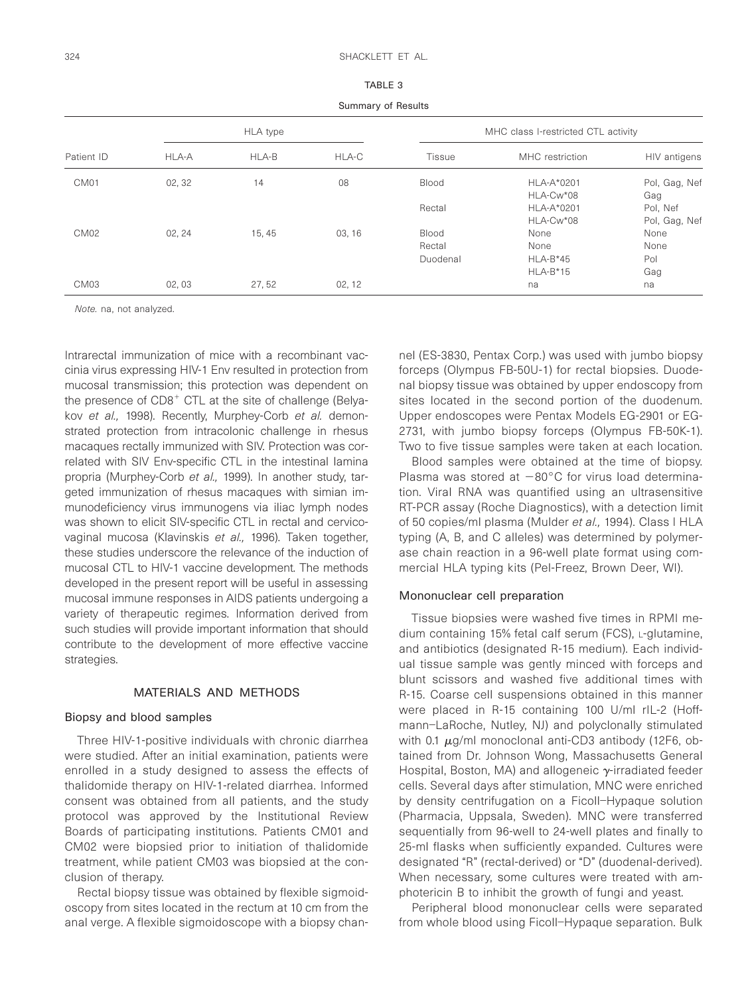| ٠ | ۰, |
|---|----|
|   |    |

Summary of Results

| Patient ID       | HLA type |        |        | MHC class I-restricted CTL activity |                 |               |  |
|------------------|----------|--------|--------|-------------------------------------|-----------------|---------------|--|
|                  | HLA-A    | HLA-B  | HLA-C  | Tissue                              | MHC restriction | HIV antigens  |  |
| CM <sub>01</sub> | 02, 32   | 14     | 08     | Blood                               | HLA-A*0201      | Pol, Gag, Nef |  |
|                  |          |        |        |                                     | HLA-Cw*08       | Gag           |  |
|                  |          |        |        | Rectal                              | HLA-A*0201      | Pol, Nef      |  |
|                  |          |        |        |                                     | HLA-Cw*08       | Pol, Gag, Nef |  |
| CM <sub>02</sub> | 02, 24   | 15, 45 | 03, 16 | Blood                               | None            | None          |  |
|                  |          |        |        | Rectal                              | None            | None          |  |
|                  |          |        |        | Duodenal                            | $HLA-B*45$      | Pol           |  |
|                  |          |        |        |                                     | $HLA-B*15$      | Gag           |  |
| CM03             | 02,03    | 27,52  | 02, 12 |                                     | na              | na            |  |

Note. na, not analyzed.

Intrarectal immunization of mice with a recombinant vaccinia virus expressing HIV-1 Env resulted in protection from mucosal transmission; this protection was dependent on the presence of  $CDB<sup>+</sup>$  CTL at the site of challenge (Belyakov et al., 1998). Recently, Murphey-Corb et al. demonstrated protection from intracolonic challenge in rhesus macaques rectally immunized with SIV. Protection was correlated with SIV Env-specific CTL in the intestinal lamina propria (Murphey-Corb et al., 1999). In another study, targeted immunization of rhesus macaques with simian immunodeficiency virus immunogens via iliac lymph nodes was shown to elicit SIV-specific CTL in rectal and cervicovaginal mucosa (Klavinskis et al., 1996). Taken together, these studies underscore the relevance of the induction of mucosal CTL to HIV-1 vaccine development. The methods developed in the present report will be useful in assessing mucosal immune responses in AIDS patients undergoing a variety of therapeutic regimes. Information derived from such studies will provide important information that should contribute to the development of more effective vaccine strategies.

#### MATERIALS AND METHODS

#### Biopsy and blood samples

Three HIV-1-positive individuals with chronic diarrhea were studied. After an initial examination, patients were enrolled in a study designed to assess the effects of thalidomide therapy on HIV-1-related diarrhea. Informed consent was obtained from all patients, and the study protocol was approved by the Institutional Review Boards of participating institutions. Patients CM01 and CM02 were biopsied prior to initiation of thalidomide treatment, while patient CM03 was biopsied at the conclusion of therapy.

Rectal biopsy tissue was obtained by flexible sigmoidoscopy from sites located in the rectum at 10 cm from the anal verge. A flexible sigmoidoscope with a biopsy channel (ES-3830, Pentax Corp.) was used with jumbo biopsy forceps (Olympus FB-50U-1) for rectal biopsies. Duodenal biopsy tissue was obtained by upper endoscopy from sites located in the second portion of the duodenum. Upper endoscopes were Pentax Models EG-2901 or EG-2731, with jumbo biopsy forceps (Olympus FB-50K-1). Two to five tissue samples were taken at each location.

Blood samples were obtained at the time of biopsy. Plasma was stored at  $-80^{\circ}$ C for virus load determination. Viral RNA was quantified using an ultrasensitive RT-PCR assay (Roche Diagnostics), with a detection limit of 50 copies/ml plasma (Mulder et al., 1994). Class I HLA typing (A, B, and C alleles) was determined by polymerase chain reaction in a 96-well plate format using commercial HLA typing kits (Pel-Freez, Brown Deer, WI).

#### Mononuclear cell preparation

Tissue biopsies were washed five times in RPMI medium containing 15% fetal calf serum (FCS), L-glutamine, and antibiotics (designated R-15 medium). Each individual tissue sample was gently minced with forceps and blunt scissors and washed five additional times with R-15. Coarse cell suspensions obtained in this manner were placed in R-15 containing 100 U/ml rIL-2 (Hoffmann–LaRoche, Nutley, NJ) and polyclonally stimulated with 0.1  $\mu$ g/ml monoclonal anti-CD3 antibody (12F6, obtained from Dr. Johnson Wong, Massachusetts General Hospital, Boston, MA) and allogeneic  $\gamma$ -irradiated feeder cells. Several days after stimulation, MNC were enriched by density centrifugation on a Ficoll–Hypaque solution (Pharmacia, Uppsala, Sweden). MNC were transferred sequentially from 96-well to 24-well plates and finally to 25-ml flasks when sufficiently expanded. Cultures were designated "R" (rectal-derived) or "D" (duodenal-derived). When necessary, some cultures were treated with amphotericin B to inhibit the growth of fungi and yeast.

Peripheral blood mononuclear cells were separated from whole blood using Ficoll–Hypaque separation. Bulk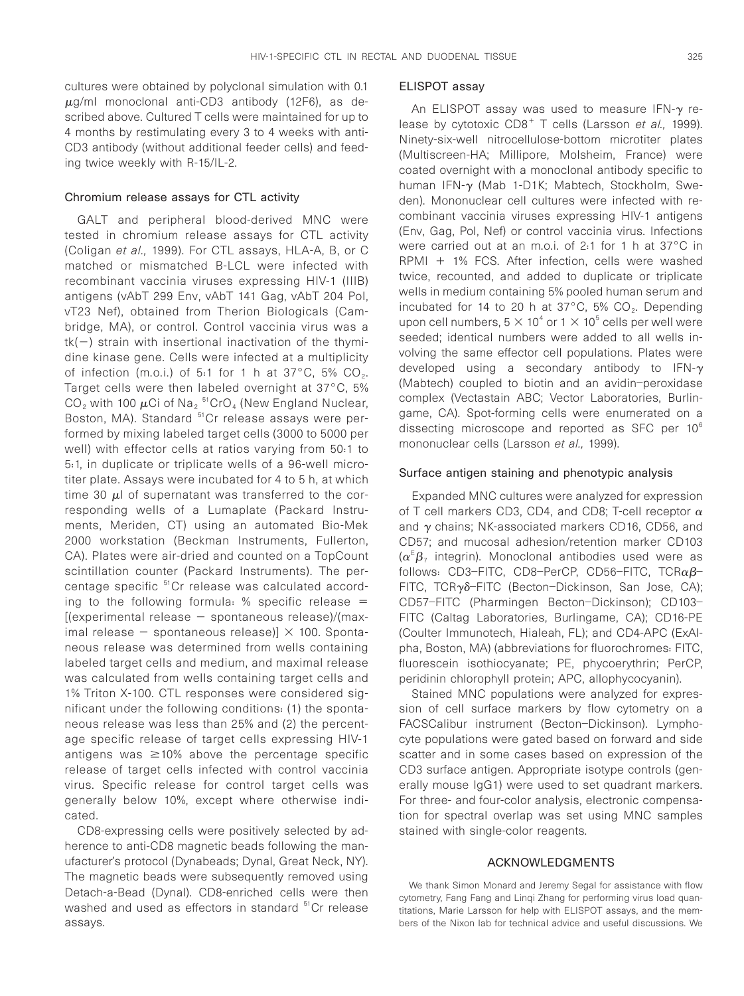cultures were obtained by polyclonal simulation with 0.1  $\mu$ g/ml monoclonal anti-CD3 antibody (12F6), as described above. Cultured T cells were maintained for up to 4 months by restimulating every 3 to 4 weeks with anti-CD3 antibody (without additional feeder cells) and feeding twice weekly with R-15/IL-2.

#### Chromium release assays for CTL activity

GALT and peripheral blood-derived MNC were tested in chromium release assays for CTL activity (Coligan et al., 1999). For CTL assays, HLA-A, B, or C matched or mismatched B-LCL were infected with recombinant vaccinia viruses expressing HIV-1 (IIIB) antigens (vAbT 299 Env, vAbT 141 Gag, vAbT 204 Pol, vT23 Nef), obtained from Therion Biologicals (Cambridge, MA), or control. Control vaccinia virus was a  $tk(-)$  strain with insertional inactivation of the thymidine kinase gene. Cells were infected at a multiplicity of infection (m.o.i.) of 5:1 for 1 h at  $37^{\circ}$ C, 5% CO<sub>2</sub>. Target cells were then labeled overnight at 37°C, 5%  $CO_2$  with 100  $\mu$ Ci of Na<sub>2</sub><sup>51</sup>CrO<sub>4</sub> (New England Nuclear, Boston, MA). Standard <sup>51</sup>Cr release assays were performed by mixing labeled target cells (3000 to 5000 per well) with effector cells at ratios varying from 50:1 to 5:1, in duplicate or triplicate wells of a 96-well microtiter plate. Assays were incubated for 4 to 5 h, at which time 30  $\mu$ l of supernatant was transferred to the corresponding wells of a Lumaplate (Packard Instruments, Meriden, CT) using an automated Bio-Mek 2000 workstation (Beckman Instruments, Fullerton, CA). Plates were air-dried and counted on a TopCount scintillation counter (Packard Instruments). The percentage specific <sup>51</sup>Cr release was calculated according to the following formula: % specific release  $=$  $[$ (experimental release  $-$  spontaneous release)/(maximal release  $-$  spontaneous release)]  $\times$  100. Spontaneous release was determined from wells containing labeled target cells and medium, and maximal release was calculated from wells containing target cells and 1% Triton X-100. CTL responses were considered significant under the following conditions: (1) the spontaneous release was less than 25% and (2) the percentage specific release of target cells expressing HIV-1 antigens was  $\geq 10\%$  above the percentage specific release of target cells infected with control vaccinia virus. Specific release for control target cells was generally below 10%, except where otherwise indicated.

CD8-expressing cells were positively selected by adherence to anti-CD8 magnetic beads following the manufacturer's protocol (Dynabeads; Dynal, Great Neck, NY). The magnetic beads were subsequently removed using Detach-a-Bead (Dynal). CD8-enriched cells were then washed and used as effectors in standard <sup>51</sup>Cr release assays.

#### ELISPOT assay

An ELISPOT assay was used to measure IFN- $\gamma$  release by cytotoxic  $CDB<sup>+</sup> T$  cells (Larsson *et al.*, 1999). Ninety-six-well nitrocellulose-bottom microtiter plates (Multiscreen-HA; Millipore, Molsheim, France) were coated overnight with a monoclonal antibody specific to human IFN-<sup>g</sup> (Mab 1-D1K; Mabtech, Stockholm, Sweden). Mononuclear cell cultures were infected with recombinant vaccinia viruses expressing HIV-1 antigens (Env, Gag, Pol, Nef) or control vaccinia virus. Infections were carried out at an m.o.i. of 2:1 for 1 h at 37°C in  $RPMI + 1\%$  FCS. After infection, cells were washed twice, recounted, and added to duplicate or triplicate wells in medium containing 5% pooled human serum and incubated for 14 to 20 h at  $37^{\circ}$ C, 5% CO<sub>2</sub>. Depending upon cell numbers,  $5 \times 10^4$  or  $1 \times 10^5$  cells per well were seeded; identical numbers were added to all wells involving the same effector cell populations. Plates were developed using a secondary antibody to IFN- $\gamma$ (Mabtech) coupled to biotin and an avidin–peroxidase complex (Vectastain ABC; Vector Laboratories, Burlingame, CA). Spot-forming cells were enumerated on a dissecting microscope and reported as SFC per  $10<sup>6</sup>$ mononuclear cells (Larsson et al., 1999).

#### Surface antigen staining and phenotypic analysis

Expanded MNC cultures were analyzed for expression of T cell markers CD3, CD4, and CD8; T-cell receptor  $\alpha$ and  $\gamma$  chains; NK-associated markers CD16, CD56, and CD57; and mucosal adhesion/retention marker CD103  $(\alpha^E \beta)$  integrin). Monoclonal antibodies used were as follows: CD3-FITC, CD8-PerCP, CD56-FITC, TCR $\alpha\beta$ -FITC, TCRγδ-FITC (Becton-Dickinson, San Jose, CA); CD57–FITC (Pharmingen Becton–Dickinson); CD103– FITC (Caltag Laboratories, Burlingame, CA); CD16-PE (Coulter Immunotech, Hialeah, FL); and CD4-APC (ExAlpha, Boston, MA) (abbreviations for fluorochromes: FITC, fluorescein isothiocyanate; PE, phycoerythrin; PerCP, peridinin chlorophyll protein; APC, allophycocyanin).

Stained MNC populations were analyzed for expression of cell surface markers by flow cytometry on a FACSCalibur instrument (Becton–Dickinson). Lymphocyte populations were gated based on forward and side scatter and in some cases based on expression of the CD3 surface antigen. Appropriate isotype controls (generally mouse IgG1) were used to set quadrant markers. For three- and four-color analysis, electronic compensation for spectral overlap was set using MNC samples stained with single-color reagents.

#### ACKNOWLEDGMENTS

We thank Simon Monard and Jeremy Segal for assistance with flow cytometry, Fang Fang and Linqi Zhang for performing virus load quantitations, Marie Larsson for help with ELISPOT assays, and the members of the Nixon lab for technical advice and useful discussions. We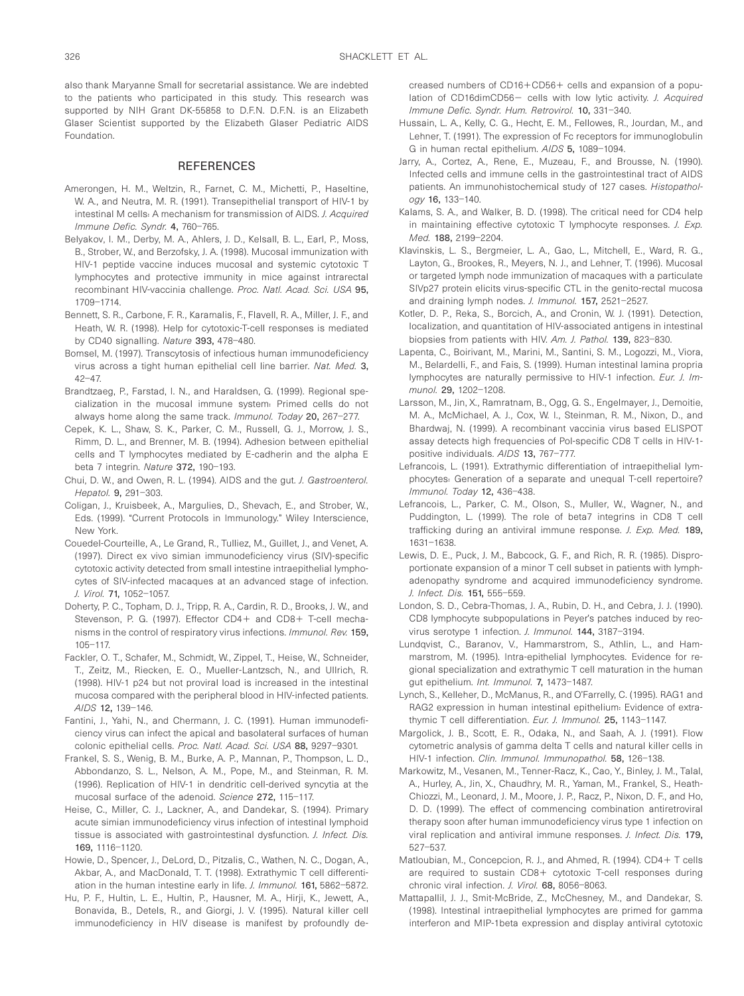also thank Maryanne Small for secretarial assistance. We are indebted to the patients who participated in this study. This research was supported by NIH Grant DK-55858 to D.F.N. D.F.N. is an Elizabeth Glaser Scientist supported by the Elizabeth Glaser Pediatric AIDS Foundation.

#### REFERENCES

- Amerongen, H. M., Weltzin, R., Farnet, C. M., Michetti, P., Haseltine, W. A., and Neutra, M. R. (1991). Transepithelial transport of HIV-1 by intestinal M cells: A mechanism for transmission of AIDS. J. Acquired Immune Defic. Syndr. 4, 760–765.
- Belyakov, I. M., Derby, M. A., Ahlers, J. D., Kelsall, B. L., Earl, P., Moss, B., Strober, W., and Berzofsky, J. A. (1998). Mucosal immunization with HIV-1 peptide vaccine induces mucosal and systemic cytotoxic T lymphocytes and protective immunity in mice against intrarectal recombinant HIV-vaccinia challenge. Proc. Natl. Acad. Sci. USA 95, 1709–1714.
- Bennett, S. R., Carbone, F. R., Karamalis, F., Flavell, R. A., Miller, J. F., and Heath, W. R. (1998). Help for cytotoxic-T-cell responses is mediated by CD40 signalling. Nature 393, 478–480.
- Bomsel, M. (1997). Transcytosis of infectious human immunodeficiency virus across a tight human epithelial cell line barrier. Nat. Med. 3, 42–47.
- Brandtzaeg, P., Farstad, I. N., and Haraldsen, G. (1999). Regional specialization in the mucosal immune system: Primed cells do not always home along the same track. Immunol. Today 20, 267–277.
- Cepek, K. L., Shaw, S. K., Parker, C. M., Russell, G. J., Morrow, J. S., Rimm, D. L., and Brenner, M. B. (1994). Adhesion between epithelial cells and T lymphocytes mediated by E-cadherin and the alpha E beta 7 integrin. Nature 372, 190–193.
- Chui, D. W., and Owen, R. L. (1994). AIDS and the gut. J. Gastroenterol. Hepatol. 9, 291–303.
- Coligan, J., Kruisbeek, A., Margulies, D., Shevach, E., and Strober, W., Eds. (1999). "Current Protocols in Immunology." Wiley Interscience, New York.
- Couedel-Courteille, A., Le Grand, R., Tulliez, M., Guillet, J., and Venet, A. (1997). Direct ex vivo simian immunodeficiency virus (SIV)-specific cytotoxic activity detected from small intestine intraepithelial lymphocytes of SIV-infected macaques at an advanced stage of infection. J. Virol. 71, 1052–1057.
- Doherty, P. C., Topham, D. J., Tripp, R. A., Cardin, R. D., Brooks, J. W., and Stevenson, P. G. (1997). Effector CD4+ and CD8+ T-cell mechanisms in the control of respiratory virus infections. Immunol. Rev. 159, 105–117.
- Fackler, O. T., Schafer, M., Schmidt, W., Zippel, T., Heise, W., Schneider, T., Zeitz, M., Riecken, E. O., Mueller-Lantzsch, N., and Ullrich, R. (1998). HIV-1 p24 but not proviral load is increased in the intestinal mucosa compared with the peripheral blood in HIV-infected patients. AIDS 12, 139–146.
- Fantini, J., Yahi, N., and Chermann, J. C. (1991). Human immunodeficiency virus can infect the apical and basolateral surfaces of human colonic epithelial cells. Proc. Natl. Acad. Sci. USA 88, 9297–9301.
- Frankel, S. S., Wenig, B. M., Burke, A. P., Mannan, P., Thompson, L. D., Abbondanzo, S. L., Nelson, A. M., Pope, M., and Steinman, R. M. (1996). Replication of HIV-1 in dendritic cell-derived syncytia at the mucosal surface of the adenoid. Science 272, 115–117.
- Heise, C., Miller, C. J., Lackner, A., and Dandekar, S. (1994). Primary acute simian immunodeficiency virus infection of intestinal lymphoid tissue is associated with gastrointestinal dysfunction. J. Infect. Dis. 169, 1116–1120.
- Howie, D., Spencer, J., DeLord, D., Pitzalis, C., Wathen, N. C., Dogan, A., Akbar, A., and MacDonald, T. T. (1998). Extrathymic T cell differentiation in the human intestine early in life. J. Immunol. 161, 5862-5872.
- Hu, P. F., Hultin, L. E., Hultin, P., Hausner, M. A., Hirji, K., Jewett, A., Bonavida, B., Detels, R., and Giorgi, J. V. (1995). Natural killer cell immunodeficiency in HIV disease is manifest by profoundly de-

creased numbers of CD16+CD56+ cells and expansion of a population of CD16dimCD56- cells with low lytic activity. J. Acquired Immune Defic. Syndr. Hum. Retrovirol. 10, 331–340.

- Hussain, L. A., Kelly, C. G., Hecht, E. M., Fellowes, R., Jourdan, M., and Lehner, T. (1991). The expression of Fc receptors for immunoglobulin G in human rectal epithelium. AIDS 5, 1089–1094.
- Jarry, A., Cortez, A., Rene, E., Muzeau, F., and Brousse, N. (1990). Infected cells and immune cells in the gastrointestinal tract of AIDS patients. An immunohistochemical study of 127 cases. Histopathology 16, 133–140.
- Kalams, S. A., and Walker, B. D. (1998). The critical need for CD4 help in maintaining effective cytotoxic T lymphocyte responses. J. Exp. Med. 188, 2199–2204.
- Klavinskis, L. S., Bergmeier, L. A., Gao, L., Mitchell, E., Ward, R. G., Layton, G., Brookes, R., Meyers, N. J., and Lehner, T. (1996). Mucosal or targeted lymph node immunization of macaques with a particulate SIVp27 protein elicits virus-specific CTL in the genito-rectal mucosa and draining lymph nodes. J. Immunol. 157, 2521–2527.
- Kotler, D. P., Reka, S., Borcich, A., and Cronin, W. J. (1991). Detection, localization, and quantitation of HIV-associated antigens in intestinal biopsies from patients with HIV. Am. J. Pathol. 139, 823–830.
- Lapenta, C., Boirivant, M., Marini, M., Santini, S. M., Logozzi, M., Viora, M., Belardelli, F., and Fais, S. (1999). Human intestinal lamina propria lymphocytes are naturally permissive to HIV-1 infection. Eur. J. Immunol. 29, 1202–1208.
- Larsson, M., Jin, X., Ramratnam, B., Ogg, G. S., Engelmayer, J., Demoitie, M. A., McMichael, A. J., Cox, W. I., Steinman, R. M., Nixon, D., and Bhardwaj, N. (1999). A recombinant vaccinia virus based ELISPOT assay detects high frequencies of Pol-specific CD8 T cells in HIV-1 positive individuals. AIDS 13, 767–777.
- Lefrancois, L. (1991). Extrathymic differentiation of intraepithelial lymphocytes: Generation of a separate and unequal T-cell repertoire? Immunol. Today 12, 436–438.
- Lefrancois, L., Parker, C. M., Olson, S., Muller, W., Wagner, N., and Puddington, L. (1999). The role of beta7 integrins in CD8 T cell trafficking during an antiviral immune response. J. Exp. Med. 189, 1631–1638.
- Lewis, D. E., Puck, J. M., Babcock, G. F., and Rich, R. R. (1985). Disproportionate expansion of a minor T cell subset in patients with lymphadenopathy syndrome and acquired immunodeficiency syndrome. J. Infect. Dis. 151, 555–559.
- London, S. D., Cebra-Thomas, J. A., Rubin, D. H., and Cebra, J. J. (1990). CD8 lymphocyte subpopulations in Peyer's patches induced by reovirus serotype 1 infection. J. Immunol. 144, 3187–3194.
- Lundqvist, C., Baranov, V., Hammarstrom, S., Athlin, L., and Hammarstrom, M. (1995). Intra-epithelial lymphocytes. Evidence for regional specialization and extrathymic T cell maturation in the human gut epithelium. Int. Immunol. 7, 1473–1487.
- Lynch, S., Kelleher, D., McManus, R., and O'Farrelly, C. (1995). RAG1 and RAG2 expression in human intestinal epithelium: Evidence of extrathymic T cell differentiation. Eur. J. Immunol. 25, 1143-1147.
- Margolick, J. B., Scott, E. R., Odaka, N., and Saah, A. J. (1991). Flow cytometric analysis of gamma delta T cells and natural killer cells in HIV-1 infection. Clin. Immunol. Immunopathol. 58, 126-138.
- Markowitz, M., Vesanen, M., Tenner-Racz, K., Cao, Y., Binley, J. M., Talal, A., Hurley, A., Jin, X., Chaudhry, M. R., Yaman, M., Frankel, S., Heath-Chiozzi, M., Leonard, J. M., Moore, J. P., Racz, P., Nixon, D. F., and Ho, D. D. (1999). The effect of commencing combination antiretroviral therapy soon after human immunodeficiency virus type 1 infection on viral replication and antiviral immune responses. J. Infect. Dis. 179, 527–537.
- Matloubian, M., Concepcion, R. J., and Ahmed, R. (1994). CD4+ T cells are required to sustain CD8+ cytotoxic T-cell responses during chronic viral infection. J. Virol. 68, 8056-8063.
- Mattapallil, J. J., Smit-McBride, Z., McChesney, M., and Dandekar, S. (1998). Intestinal intraepithelial lymphocytes are primed for gamma interferon and MIP-1beta expression and display antiviral cytotoxic